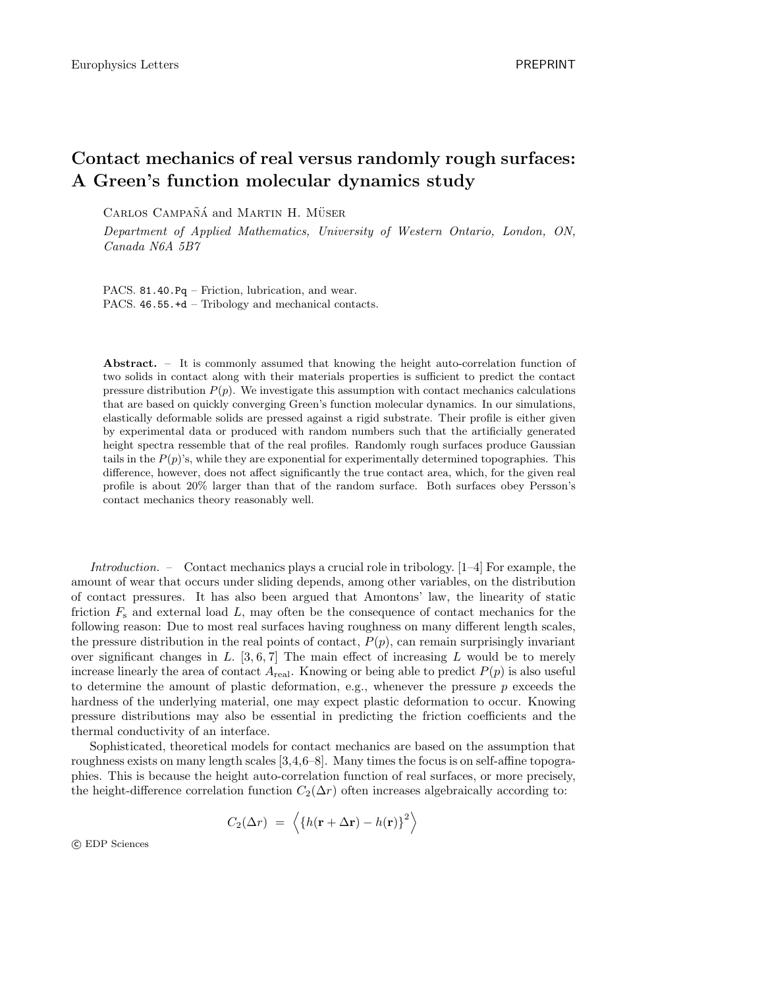## Contact mechanics of real versus randomly rough surfaces: A Green's function molecular dynamics study

CARLOS CAMPAÑÁ and MARTIN H. MÜSER

Department of Applied Mathematics, University of Western Ontario, London, ON, Canada N6A 5B7

PACS. 81.40.Pq – Friction, lubrication, and wear. PACS. 46.55.+d – Tribology and mechanical contacts.

Abstract. – It is commonly assumed that knowing the height auto-correlation function of two solids in contact along with their materials properties is sufficient to predict the contact pressure distribution  $P(p)$ . We investigate this assumption with contact mechanics calculations that are based on quickly converging Green's function molecular dynamics. In our simulations, elastically deformable solids are pressed against a rigid substrate. Their profile is either given by experimental data or produced with random numbers such that the artificially generated height spectra ressemble that of the real profiles. Randomly rough surfaces produce Gaussian tails in the  $P(p)$ 's, while they are exponential for experimentally determined topographies. This difference, however, does not affect significantly the true contact area, which, for the given real profile is about 20% larger than that of the random surface. Both surfaces obey Persson's contact mechanics theory reasonably well.

Introduction. – Contact mechanics plays a crucial role in tribology. [1–4] For example, the amount of wear that occurs under sliding depends, among other variables, on the distribution of contact pressures. It has also been argued that Amontons' law, the linearity of static friction  $F_s$  and external load L, may often be the consequence of contact mechanics for the following reason: Due to most real surfaces having roughness on many different length scales, the pressure distribution in the real points of contact,  $P(p)$ , can remain surprisingly invariant over significant changes in  $L$ . [3, 6, 7] The main effect of increasing  $L$  would be to merely increase linearly the area of contact  $A_{\text{real}}$ . Knowing or being able to predict  $P(p)$  is also useful to determine the amount of plastic deformation, e.g., whenever the pressure  $p$  exceeds the hardness of the underlying material, one may expect plastic deformation to occur. Knowing pressure distributions may also be essential in predicting the friction coefficients and the thermal conductivity of an interface.

Sophisticated, theoretical models for contact mechanics are based on the assumption that roughness exists on many length scales [3,4,6–8]. Many times the focus is on self-affine topographies. This is because the height auto-correlation function of real surfaces, or more precisely, the height-difference correlation function  $C_2(\Delta r)$  often increases algebraically according to:

$$
C_2(\Delta r) = \left\langle \{ h(\mathbf{r} + \Delta \mathbf{r}) - h(\mathbf{r}) \}^2 \right\rangle
$$

c EDP Sciences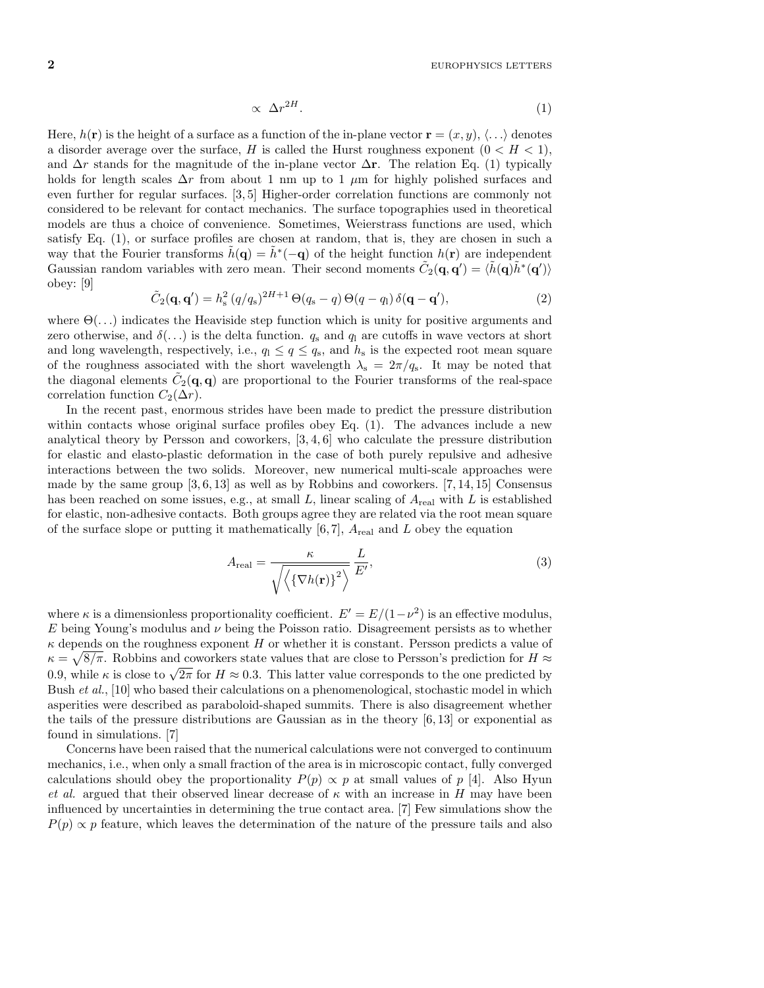$$
\propto \Delta r^{2H}.\tag{1}
$$

Here,  $h(\mathbf{r})$  is the height of a surface as a function of the in-plane vector  $\mathbf{r} = (x, y), \langle \ldots \rangle$  denotes a disorder average over the surface, H is called the Hurst roughness exponent  $(0 < H < 1)$ , and  $\Delta r$  stands for the magnitude of the in-plane vector  $\Delta$ r. The relation Eq. (1) typically holds for length scales  $\Delta r$  from about 1 nm up to 1  $\mu$ m for highly polished surfaces and even further for regular surfaces. [3, 5] Higher-order correlation functions are commonly not considered to be relevant for contact mechanics. The surface topographies used in theoretical models are thus a choice of convenience. Sometimes, Weierstrass functions are used, which satisfy Eq. (1), or surface profiles are chosen at random, that is, they are chosen in such a way that the Fourier transforms  $\tilde{h}(\mathbf{q}) = \tilde{h}^*(-\mathbf{q})$  of the height function  $h(\mathbf{r})$  are independent Gaussian random variables with zero mean. Their second moments  $\tilde{C}_2(\mathbf{q}, \mathbf{q}') = \langle \tilde{h}(\mathbf{q})\tilde{h}^*(\mathbf{q}')\rangle$ obey: [9]

$$
\tilde{C}_2(\mathbf{q}, \mathbf{q}') = h_s^2 (q/q_s)^{2H+1} \Theta(q_s - q) \Theta(q - q_l) \delta(\mathbf{q} - \mathbf{q}'),\tag{2}
$$

where  $\Theta(\ldots)$  indicates the Heaviside step function which is unity for positive arguments and zero otherwise, and  $\delta(\ldots)$  is the delta function.  $q_s$  and  $q_l$  are cutoffs in wave vectors at short and long wavelength, respectively, i.e.,  $q_1 \le q \le q_s$ , and  $h_s$  is the expected root mean square of the roughness associated with the short wavelength  $\lambda_s = 2\pi/q_s$ . It may be noted that the diagonal elements  $\tilde{C}_2(\mathbf{q}, \mathbf{q})$  are proportional to the Fourier transforms of the real-space correlation function  $C_2(\Delta r)$ .

In the recent past, enormous strides have been made to predict the pressure distribution within contacts whose original surface profiles obey Eq.  $(1)$ . The advances include a new analytical theory by Persson and coworkers, [3, 4, 6] who calculate the pressure distribution for elastic and elasto-plastic deformation in the case of both purely repulsive and adhesive interactions between the two solids. Moreover, new numerical multi-scale approaches were made by the same group  $[3, 6, 13]$  as well as by Robbins and coworkers.  $[7, 14, 15]$  Consensus has been reached on some issues, e.g., at small L, linear scaling of  $A_{\text{real}}$  with L is established for elastic, non-adhesive contacts. Both groups agree they are related via the root mean square of the surface slope or putting it mathematically  $[6, 7]$ ,  $A_{\text{real}}$  and L obey the equation

$$
A_{\text{real}} = \frac{\kappa}{\sqrt{\langle \langle \nabla h(\mathbf{r}) \rangle^2 \rangle}} \frac{L}{E'},\tag{3}
$$

where  $\kappa$  is a dimensionless proportionality coefficient.  $E' = E/(1 - \nu^2)$  is an effective modulus, E being Young's modulus and  $\nu$  being the Poisson ratio. Disagreement persists as to whether  $\kappa$  depends on the roughness exponent H or whether it is constant. Persson predicts a value of  $\kappa = \sqrt{8/\pi}$ . Robbins and coworkers state values that are close to Persson's prediction for  $H \approx$ 0.9, while  $\kappa$  is close to  $\sqrt{2\pi}$  for  $H \approx 0.3$ . This latter value corresponds to the one predicted by Bush et al., [10] who based their calculations on a phenomenological, stochastic model in which asperities were described as paraboloid-shaped summits. There is also disagreement whether the tails of the pressure distributions are Gaussian as in the theory  $[6, 13]$  or exponential as found in simulations. [7]

Concerns have been raised that the numerical calculations were not converged to continuum mechanics, i.e., when only a small fraction of the area is in microscopic contact, fully converged calculations should obey the proportionality  $P(p) \propto p$  at small values of p [4]. Also Hyun et al. argued that their observed linear decrease of  $\kappa$  with an increase in H may have been influenced by uncertainties in determining the true contact area. [7] Few simulations show the  $P(p) \propto p$  feature, which leaves the determination of the nature of the pressure tails and also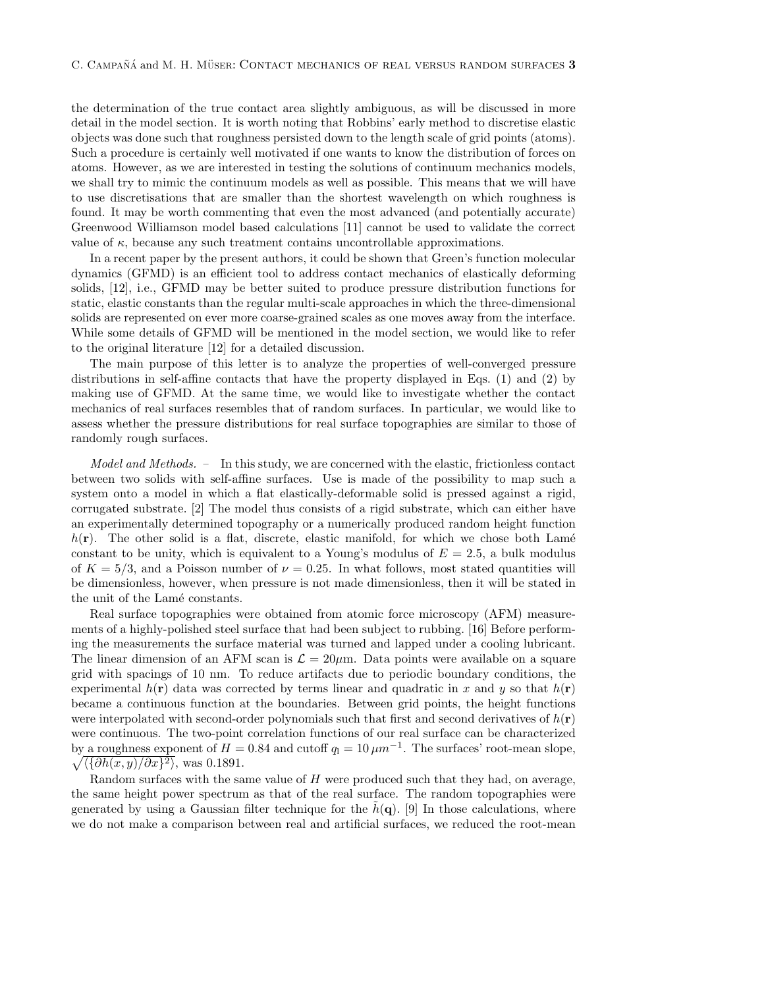the determination of the true contact area slightly ambiguous, as will be discussed in more detail in the model section. It is worth noting that Robbins' early method to discretise elastic objects was done such that roughness persisted down to the length scale of grid points (atoms). Such a procedure is certainly well motivated if one wants to know the distribution of forces on atoms. However, as we are interested in testing the solutions of continuum mechanics models, we shall try to mimic the continuum models as well as possible. This means that we will have to use discretisations that are smaller than the shortest wavelength on which roughness is found. It may be worth commenting that even the most advanced (and potentially accurate) Greenwood Williamson model based calculations [11] cannot be used to validate the correct value of  $\kappa$ , because any such treatment contains uncontrollable approximations.

In a recent paper by the present authors, it could be shown that Green's function molecular dynamics (GFMD) is an efficient tool to address contact mechanics of elastically deforming solids, [12], i.e., GFMD may be better suited to produce pressure distribution functions for static, elastic constants than the regular multi-scale approaches in which the three-dimensional solids are represented on ever more coarse-grained scales as one moves away from the interface. While some details of GFMD will be mentioned in the model section, we would like to refer to the original literature [12] for a detailed discussion.

The main purpose of this letter is to analyze the properties of well-converged pressure distributions in self-affine contacts that have the property displayed in Eqs. (1) and (2) by making use of GFMD. At the same time, we would like to investigate whether the contact mechanics of real surfaces resembles that of random surfaces. In particular, we would like to assess whether the pressure distributions for real surface topographies are similar to those of randomly rough surfaces.

Model and Methods. – In this study, we are concerned with the elastic, frictionless contact between two solids with self-affine surfaces. Use is made of the possibility to map such a system onto a model in which a flat elastically-deformable solid is pressed against a rigid, corrugated substrate. [2] The model thus consists of a rigid substrate, which can either have an experimentally determined topography or a numerically produced random height function  $h(\mathbf{r})$ . The other solid is a flat, discrete, elastic manifold, for which we chose both Lamé constant to be unity, which is equivalent to a Young's modulus of  $E = 2.5$ , a bulk modulus of  $K = 5/3$ , and a Poisson number of  $\nu = 0.25$ . In what follows, most stated quantities will be dimensionless, however, when pressure is not made dimensionless, then it will be stated in the unit of the Lamé constants.

Real surface topographies were obtained from atomic force microscopy (AFM) measurements of a highly-polished steel surface that had been subject to rubbing. [16] Before performing the measurements the surface material was turned and lapped under a cooling lubricant. The linear dimension of an AFM scan is  $\mathcal{L} = 20 \mu m$ . Data points were available on a square grid with spacings of 10 nm. To reduce artifacts due to periodic boundary conditions, the experimental  $h(\mathbf{r})$  data was corrected by terms linear and quadratic in x and y so that  $h(\mathbf{r})$ became a continuous function at the boundaries. Between grid points, the height functions were interpolated with second-order polynomials such that first and second derivatives of  $h(\mathbf{r})$ were continuous. The two-point correlation functions of our real surface can be characterized by a roughness exponent of  $H = 0.84$  and cutoff  $q_1 = 10 \,\mu m^{-1}$ . The surfaces' root-mean slope,  $\sqrt{\langle \{\partial h(x,y)/\partial x\}^2 \rangle}$ , was 0.1891.

Random surfaces with the same value of  $H$  were produced such that they had, on average, the same height power spectrum as that of the real surface. The random topographies were generated by using a Gaussian filter technique for the  $h(\mathbf{q})$ . [9] In those calculations, where we do not make a comparison between real and artificial surfaces, we reduced the root-mean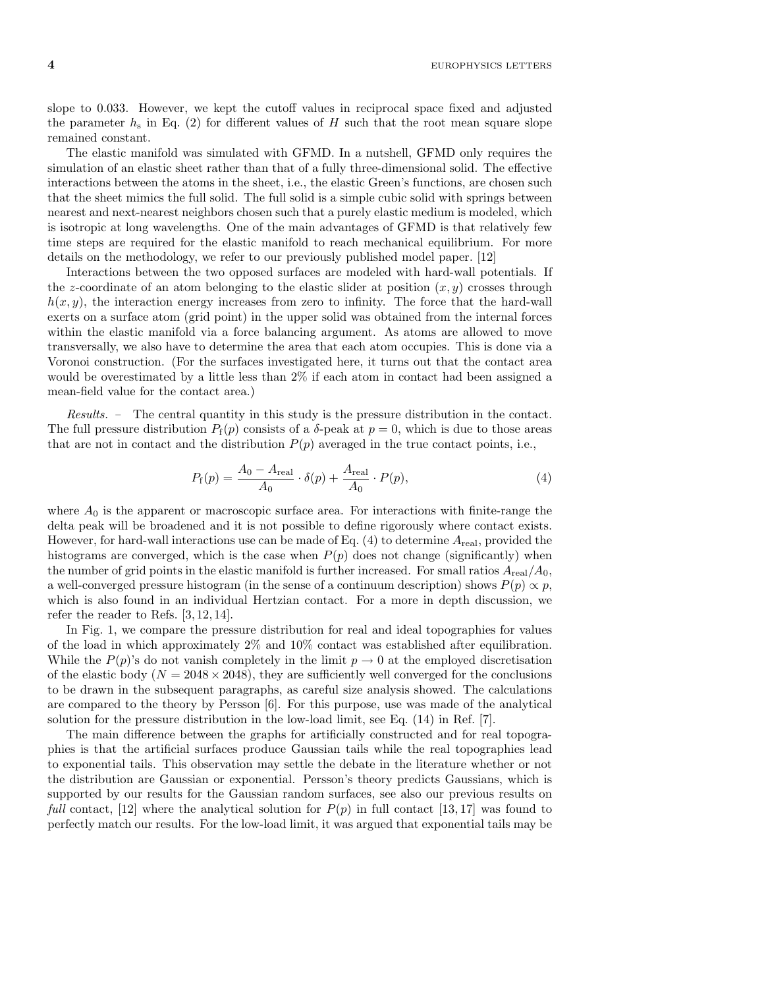$4$  EUROPHYSICS LETTERS

slope to 0.033. However, we kept the cutoff values in reciprocal space fixed and adjusted the parameter  $h_s$  in Eq. (2) for different values of H such that the root mean square slope remained constant.

The elastic manifold was simulated with GFMD. In a nutshell, GFMD only requires the simulation of an elastic sheet rather than that of a fully three-dimensional solid. The effective interactions between the atoms in the sheet, i.e., the elastic Green's functions, are chosen such that the sheet mimics the full solid. The full solid is a simple cubic solid with springs between nearest and next-nearest neighbors chosen such that a purely elastic medium is modeled, which is isotropic at long wavelengths. One of the main advantages of GFMD is that relatively few time steps are required for the elastic manifold to reach mechanical equilibrium. For more details on the methodology, we refer to our previously published model paper. [12]

Interactions between the two opposed surfaces are modeled with hard-wall potentials. If the z-coordinate of an atom belonging to the elastic slider at position  $(x, y)$  crosses through  $h(x, y)$ , the interaction energy increases from zero to infinity. The force that the hard-wall exerts on a surface atom (grid point) in the upper solid was obtained from the internal forces within the elastic manifold via a force balancing argument. As atoms are allowed to move transversally, we also have to determine the area that each atom occupies. This is done via a Voronoi construction. (For the surfaces investigated here, it turns out that the contact area would be overestimated by a little less than 2% if each atom in contact had been assigned a mean-field value for the contact area.)

Results. – The central quantity in this study is the pressure distribution in the contact. The full pressure distribution  $P_f(p)$  consists of a  $\delta$ -peak at  $p = 0$ , which is due to those areas that are not in contact and the distribution  $P(p)$  averaged in the true contact points, i.e.,

$$
P_{\rm f}(p) = \frac{A_0 - A_{\rm real}}{A_0} \cdot \delta(p) + \frac{A_{\rm real}}{A_0} \cdot P(p),\tag{4}
$$

where  $A_0$  is the apparent or macroscopic surface area. For interactions with finite-range the delta peak will be broadened and it is not possible to define rigorously where contact exists. However, for hard-wall interactions use can be made of Eq.  $(4)$  to determine  $A_{\text{real}}$ , provided the histograms are converged, which is the case when  $P(p)$  does not change (significantly) when the number of grid points in the elastic manifold is further increased. For small ratios  $A_{\text{real}}/A_0$ , a well-converged pressure histogram (in the sense of a continuum description) shows  $P(p) \propto p$ , which is also found in an individual Hertzian contact. For a more in depth discussion, we refer the reader to Refs. [3, 12, 14].

In Fig. 1, we compare the pressure distribution for real and ideal topographies for values of the load in which approximately 2% and 10% contact was established after equilibration. While the  $P(p)$ 's do not vanish completely in the limit  $p \to 0$  at the employed discretisation of the elastic body  $(N = 2048 \times 2048)$ , they are sufficiently well converged for the conclusions to be drawn in the subsequent paragraphs, as careful size analysis showed. The calculations are compared to the theory by Persson [6]. For this purpose, use was made of the analytical solution for the pressure distribution in the low-load limit, see Eq. (14) in Ref. [7].

The main difference between the graphs for artificially constructed and for real topographies is that the artificial surfaces produce Gaussian tails while the real topographies lead to exponential tails. This observation may settle the debate in the literature whether or not the distribution are Gaussian or exponential. Persson's theory predicts Gaussians, which is supported by our results for the Gaussian random surfaces, see also our previous results on full contact, [12] where the analytical solution for  $P(p)$  in full contact [13, 17] was found to perfectly match our results. For the low-load limit, it was argued that exponential tails may be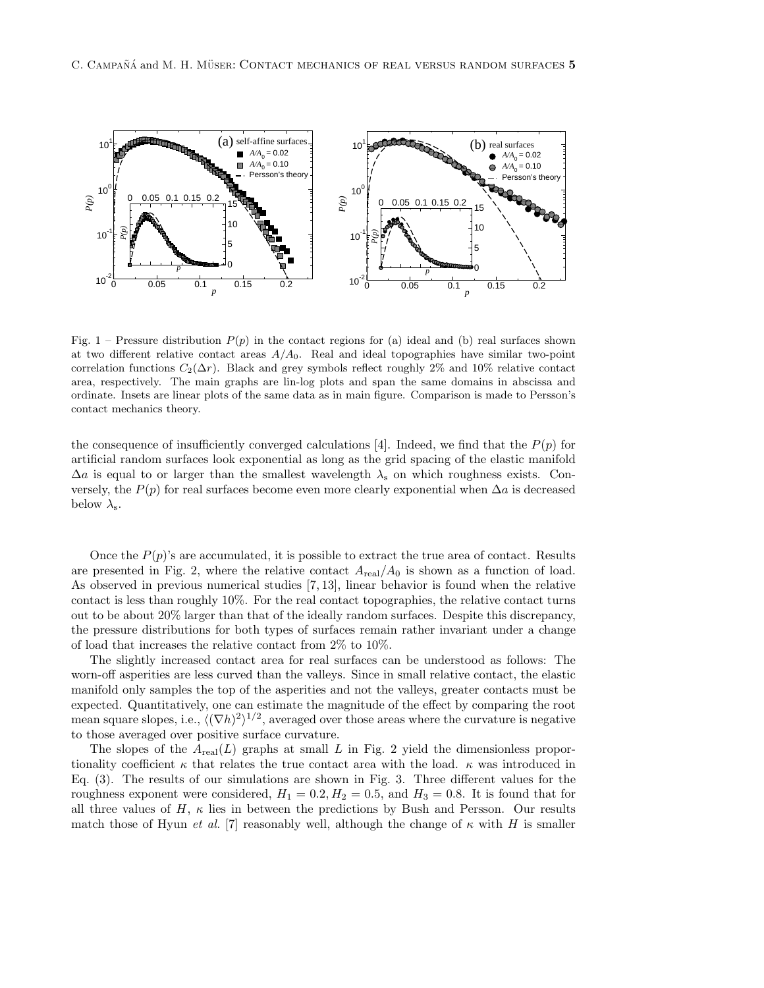

Fig. 1 – Pressure distribution  $P(p)$  in the contact regions for (a) ideal and (b) real surfaces shown at two different relative contact areas  $A/A<sub>0</sub>$ . Real and ideal topographies have similar two-point correlation functions  $C_2(\Delta r)$ . Black and grey symbols reflect roughly 2% and 10% relative contact area, respectively. The main graphs are lin-log plots and span the same domains in abscissa and ordinate. Insets are linear plots of the same data as in main figure. Comparison is made to Persson's contact mechanics theory.

the consequence of insufficiently converged calculations [4]. Indeed, we find that the  $P(p)$  for artificial random surfaces look exponential as long as the grid spacing of the elastic manifold  $\Delta a$  is equal to or larger than the smallest wavelength  $\lambda_s$  on which roughness exists. Conversely, the  $P(p)$  for real surfaces become even more clearly exponential when  $\Delta a$  is decreased below  $\lambda_{\rm s}$ .

Once the  $P(p)$ 's are accumulated, it is possible to extract the true area of contact. Results are presented in Fig. 2, where the relative contact  $A_{\text{real}}/A_0$  is shown as a function of load. As observed in previous numerical studies [7, 13], linear behavior is found when the relative contact is less than roughly 10%. For the real contact topographies, the relative contact turns out to be about 20% larger than that of the ideally random surfaces. Despite this discrepancy, the pressure distributions for both types of surfaces remain rather invariant under a change of load that increases the relative contact from 2% to 10%.

The slightly increased contact area for real surfaces can be understood as follows: The worn-off asperities are less curved than the valleys. Since in small relative contact, the elastic manifold only samples the top of the asperities and not the valleys, greater contacts must be expected. Quantitatively, one can estimate the magnitude of the effect by comparing the root mean square slopes, i.e.,  $\langle (\nabla h)^2 \rangle^{1/2}$ , averaged over those areas where the curvature is negative to those averaged over positive surface curvature.

The slopes of the  $A_{\text{real}}(L)$  graphs at small L in Fig. 2 yield the dimensionless proportionality coefficient  $\kappa$  that relates the true contact area with the load.  $\kappa$  was introduced in Eq. (3). The results of our simulations are shown in Fig. 3. Three different values for the roughness exponent were considered,  $H_1 = 0.2, H_2 = 0.5$ , and  $H_3 = 0.8$ . It is found that for all three values of H,  $\kappa$  lies in between the predictions by Bush and Persson. Our results match those of Hyun et al. [7] reasonably well, although the change of  $\kappa$  with H is smaller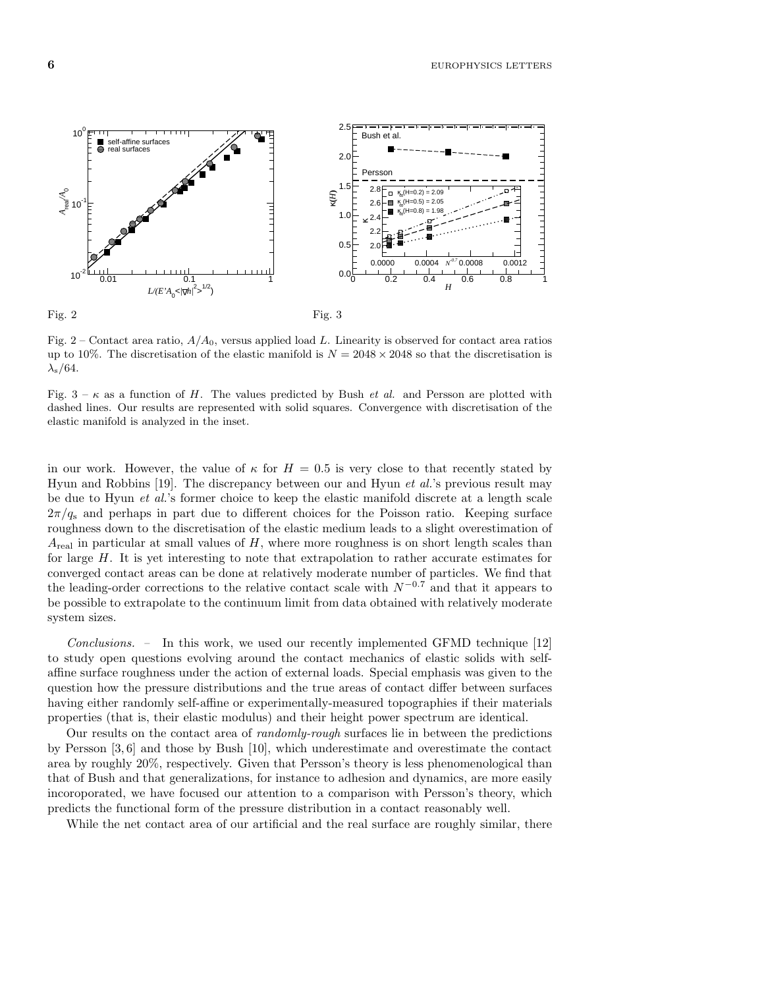

Fig. 2 – Contact area ratio,  $A/A<sub>0</sub>$ , versus applied load L. Linearity is observed for contact area ratios up to 10%. The discretisation of the elastic manifold is  $N = 2048 \times 2048$  so that the discretisation is  $\lambda_{\rm s}/64$ .

Fig.  $3 - \kappa$  as a function of H. The values predicted by Bush *et al.* and Persson are plotted with dashed lines. Our results are represented with solid squares. Convergence with discretisation of the elastic manifold is analyzed in the inset.

in our work. However, the value of  $\kappa$  for  $H = 0.5$  is very close to that recently stated by Hyun and Robbins [19]. The discrepancy between our and Hyun *et al.*'s previous result may be due to Hyun et al.'s former choice to keep the elastic manifold discrete at a length scale  $2\pi/g_s$  and perhaps in part due to different choices for the Poisson ratio. Keeping surface roughness down to the discretisation of the elastic medium leads to a slight overestimation of  $A_{\text{real}}$  in particular at small values of H, where more roughness is on short length scales than for large H. It is yet interesting to note that extrapolation to rather accurate estimates for converged contact areas can be done at relatively moderate number of particles. We find that the leading-order corrections to the relative contact scale with  $N^{-0.7}$  and that it appears to be possible to extrapolate to the continuum limit from data obtained with relatively moderate system sizes.

Conclusions. – In this work, we used our recently implemented GFMD technique [12] to study open questions evolving around the contact mechanics of elastic solids with selfaffine surface roughness under the action of external loads. Special emphasis was given to the question how the pressure distributions and the true areas of contact differ between surfaces having either randomly self-affine or experimentally-measured topographies if their materials properties (that is, their elastic modulus) and their height power spectrum are identical.

Our results on the contact area of randomly-rough surfaces lie in between the predictions by Persson [3, 6] and those by Bush [10], which underestimate and overestimate the contact area by roughly 20%, respectively. Given that Persson's theory is less phenomenological than that of Bush and that generalizations, for instance to adhesion and dynamics, are more easily incoroporated, we have focused our attention to a comparison with Persson's theory, which predicts the functional form of the pressure distribution in a contact reasonably well.

While the net contact area of our artificial and the real surface are roughly similar, there